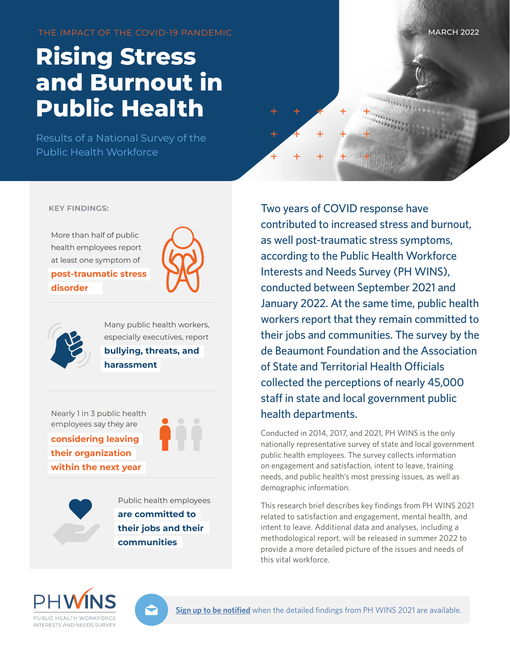THE IMPACT OF THE COVID-19 PANDEMIC

# **Rising Stress and Burnout in Public Health**

Results of a National Survey of the Public Health Workforce



#### **KEY FINDINGS:**

More than half of public health employees report at least one symptom of

**post-traumatic stress disorder**





Many public health workers, especially executives, report **bullying, threats, and harassment**

Nearly 1 in 3 public health employees say they are **considering leaving their organization within the next year**



Public health employees **are committed to their jobs and their communities**

Two years of COVID response have contributed to increased stress and burnout, as well post-traumatic stress symptoms, according to the Public Health Workforce Interests and Needs Survey (PH WINS), conducted between September 2021 and January 2022. At the same time, public health workers report that they remain committed to their jobs and communities. The survey by the de Beaumont Foundation and the Association of State and Territorial Health Officials collected the perceptions of nearly 45,000 staff in state and local government public health departments.

Conducted in 2014, 2017, and 2021, PH WINS is the only nationally representative survey of state and local government public health employees. The survey collects information on engagement and satisfaction, intent to leave, training needs, and public health's most pressing issues, as well as demographic information.

This research brief describes key findings from PH WINS 2021 related to satisfaction and engagement, mental health, and intent to leave. Additional data and analyses, including a methodological report, will be released in summer 2022 to provide a more detailed picture of the issues and needs of this vital workforce.





**[Sign up to be notified](https://lp.constantcontactpages.com/su/WtNOFr8)** when the detailed findings from PH WINS 2021 are available.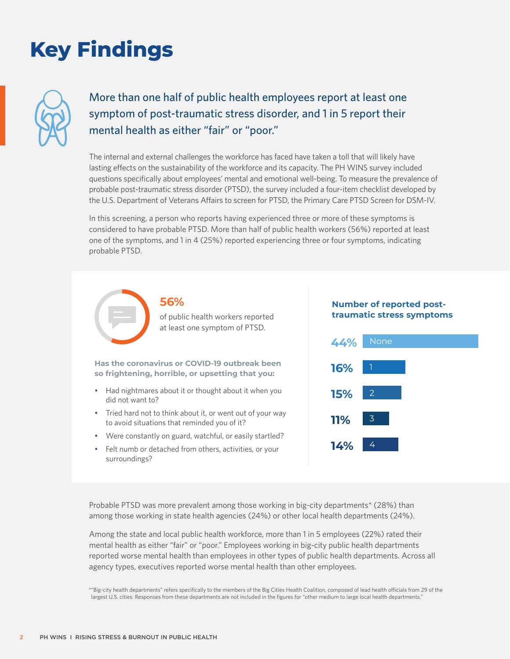# **Key Findings**



## More than one half of public health employees report at least one symptom of post-traumatic stress disorder, and 1 in 5 report their mental health as either "fair" or "poor."

The internal and external challenges the workforce has faced have taken a toll that will likely have lasting effects on the sustainability of the workforce and its capacity. The PH WINS survey included questions specifically about employees' mental and emotional well-being. To measure the prevalence of probable post-traumatic stress disorder (PTSD), the survey included a four-item checklist developed by the U.S. Department of Veterans Affairs to screen for PTSD, the Primary Care PTSD Screen for DSM-IV.

In this screening, a person who reports having experienced three or more of these symptoms is considered to have probable PTSD. More than half of public health workers (56%) reported at least one of the symptoms, and 1 in 4 (25%) reported experiencing three or four symptoms, indicating probable PTSD.

at least one symptom of PTSD.

of public health workers reported

**Has the coronavirus or COVID-19 outbreak been so frightening, horrible, or upsetting that you:**

**56%**

- Had nightmares about it or thought about it when you did not want to?
- Tried hard not to think about it, or went out of your way to avoid situations that reminded you of it?
- Were constantly on guard, watchful, or easily startled?
- Felt numb or detached from others, activities, or your surroundings?

#### **Number of reported posttraumatic stress symptoms**



Probable PTSD was more prevalent among those working in big-city departments\* (28%) than among those working in state health agencies (24%) or other local health departments (24%).

Among the state and local public health workforce, more than 1 in 5 employees (22%) rated their mental health as either "fair" or "poor." Employees working in big-city public health departments reported worse mental health than employees in other types of public health departments. Across all agency types, executives reported worse mental health than other employees.

<sup>\*&</sup>quot;Big-city health departments" refers specifically to the members of the Big Cities Health Coalition, composed of lead health officials from 29 of the largest U.S. cities. Responses from these departments are not included in the figures for "other medium to large local health departments."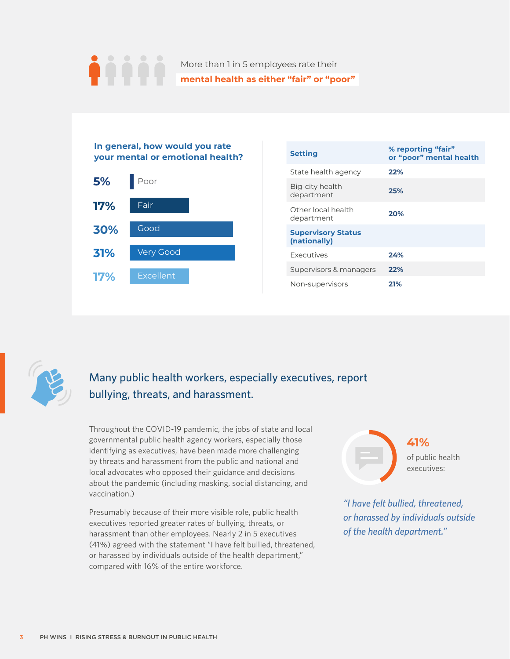### More than 1 in 5 employees rate their **mental health as either "fair" or "poor"**



| <b>Setting</b>                            | % reporting "fair"<br>or "poor" mental health |
|-------------------------------------------|-----------------------------------------------|
| State health agency                       | 22%                                           |
| Big-city health<br>department             | 25%                                           |
| Other local health<br>department          | 20%                                           |
| <b>Supervisory Status</b><br>(nationally) |                                               |
| <b>Executives</b>                         | 24%                                           |
| Supervisors & managers                    | 22%                                           |
| Non-supervisors                           | 21%                                           |



## Many public health workers, especially executives, report bullying, threats, and harassment.

Throughout the COVID-19 pandemic, the jobs of state and local governmental public health agency workers, especially those identifying as executives, have been made more challenging by threats and harassment from the public and national and local advocates who opposed their guidance and decisions about the pandemic (including masking, social distancing, and vaccination.)

Presumably because of their more visible role, public health executives reported greater rates of bullying, threats, or harassment than other employees. Nearly 2 in 5 executives (41%) agreed with the statement "I have felt bullied, threatened, or harassed by individuals outside of the health department," compared with 16% of the entire workforce.



*"I have felt bullied, threatened, or harassed by individuals outside of the health department."*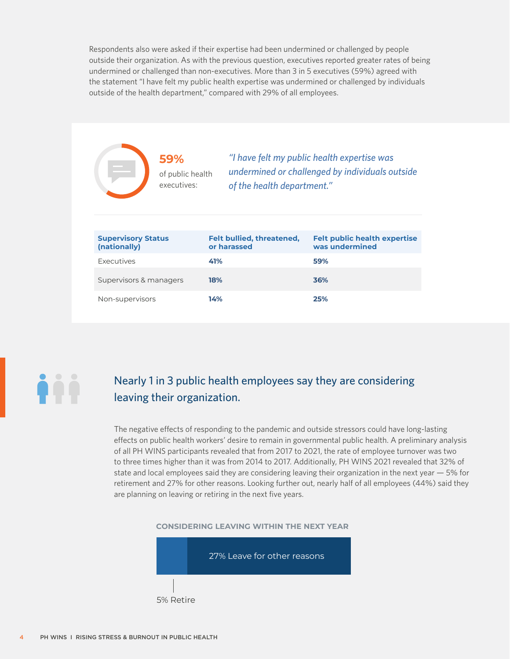Respondents also were asked if their expertise had been undermined or challenged by people outside their organization. As with the previous question, executives reported greater rates of being undermined or challenged than non-executives. More than 3 in 5 executives (59%) agreed with the statement "I have felt my public health expertise was undermined or challenged by individuals outside of the health department," compared with 29% of all employees.

|                                           | 59%<br>of public health<br>executives: | of the health department."               | "I have felt my public health expertise was<br>undermined or challenged by individuals outside |
|-------------------------------------------|----------------------------------------|------------------------------------------|------------------------------------------------------------------------------------------------|
| <b>Supervisory Status</b><br>(nationally) |                                        | Felt bullied, threatened,<br>or harassed | <b>Felt public health expertise</b><br>was undermined                                          |
| Executives                                |                                        | 41%                                      | 59%                                                                                            |
| Supervisors & managers                    |                                        | 18%                                      | 36%                                                                                            |
| Non-supervisors                           |                                        | 14%                                      | 25%                                                                                            |



### Nearly 1 in 3 public health employees say they are considering leaving their organization.

The negative effects of responding to the pandemic and outside stressors could have long-lasting effects on public health workers' desire to remain in governmental public health. A preliminary analysis of all PH WINS participants revealed that from 2017 to 2021, the rate of employee turnover was two to three times higher than it was from 2014 to 2017. Additionally, PH WINS 2021 revealed that 32% of state and local employees said they are considering leaving their organization in the next year — 5% for retirement and 27% for other reasons. Looking further out, nearly half of all employees (44%) said they are planning on leaving or retiring in the next five years.



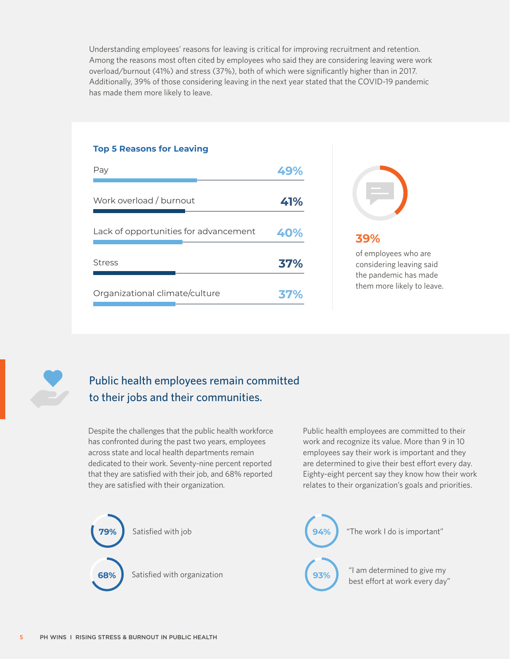Understanding employees' reasons for leaving is critical for improving recruitment and retention. Among the reasons most often cited by employees who said they are considering leaving were work overload/burnout (41%) and stress (37%), both of which were significantly higher than in 2017. Additionally, 39% of those considering leaving in the next year stated that the COVID-19 pandemic has made them more likely to leave.

# Pay **49%** Work overload / burnout **41%** Stress **37%** Lack of opportunities for advancement **40%** Organizational climate/culture **37%**

**Top 5 Reasons for Leaving**



### **39%**

of employees who are considering leaving said the pandemic has made them more likely to leave.



## Public health employees remain committed to their jobs and their communities.

Despite the challenges that the public health workforce has confronted during the past two years, employees across state and local health departments remain dedicated to their work. Seventy-nine percent reported that they are satisfied with their job, and 68% reported they are satisfied with their organization.

Public health employees are committed to their work and recognize its value. More than 9 in 10 employees say their work is important and they are determined to give their best effort every day. Eighty-eight percent say they know how their work relates to their organization's goals and priorities.

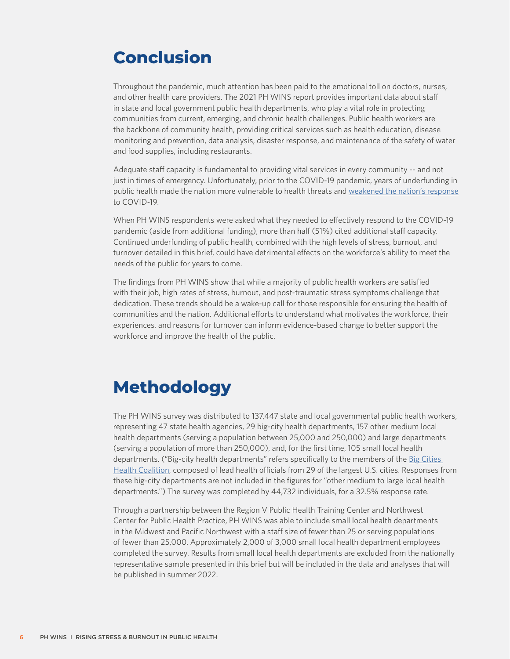# **Conclusion**

Throughout the pandemic, much attention has been paid to the emotional toll on doctors, nurses, and other health care providers. The 2021 PH WINS report provides important data about staff in state and local government public health departments, who play a vital role in protecting communities from current, emerging, and chronic health challenges. Public health workers are the backbone of community health, providing critical services such as health education, disease monitoring and prevention, data analysis, disaster response, and maintenance of the safety of water and food supplies, including restaurants.

Adequate staff capacity is fundamental to providing vital services in every community -- and not just in times of emergency. Unfortunately, prior to the COVID-19 pandemic, years of underfunding in public health made the nation more vulnerable to health threats and [weakened the nation's response](https://www.tfah.org/report-details/publichealthfunding2020/) to COVID-19.

When PH WINS respondents were asked what they needed to effectively respond to the COVID-19 pandemic (aside from additional funding), more than half (51%) cited additional staff capacity. Continued underfunding of public health, combined with the high levels of stress, burnout, and turnover detailed in this brief, could have detrimental effects on the workforce's ability to meet the needs of the public for years to come.

The findings from PH WINS show that while a majority of public health workers are satisfied with their job, high rates of stress, burnout, and post-traumatic stress symptoms challenge that dedication. These trends should be a wake-up call for those responsible for ensuring the health of communities and the nation. Additional efforts to understand what motivates the workforce, their experiences, and reasons for turnover can inform evidence-based change to better support the workforce and improve the health of the public.

# **Methodology**

The PH WINS survey was distributed to 137,447 state and local governmental public health workers, representing 47 state health agencies, 29 big-city health departments, 157 other medium local health departments (serving a population between 25,000 and 250,000) and large departments (serving a population of more than 250,000), and, for the first time, 105 small local health departments. ("Big-city health departments" refers specifically to the members of the [Big Cities](http://www.bigcitieshealth.org)  [Health Coalition](http://www.bigcitieshealth.org), composed of lead health officials from 29 of the largest U.S. cities. Responses from these big-city departments are not included in the figures for "other medium to large local health departments.") The survey was completed by 44,732 individuals, for a 32.5% response rate.

Through a partnership between the Region V Public Health Training Center and Northwest Center for Public Health Practice, PH WINS was able to include small local health departments in the Midwest and Pacific Northwest with a staff size of fewer than 25 or serving populations of fewer than 25,000. Approximately 2,000 of 3,000 small local health department employees completed the survey. Results from small local health departments are excluded from the nationally representative sample presented in this brief but will be included in the data and analyses that will be published in summer 2022.